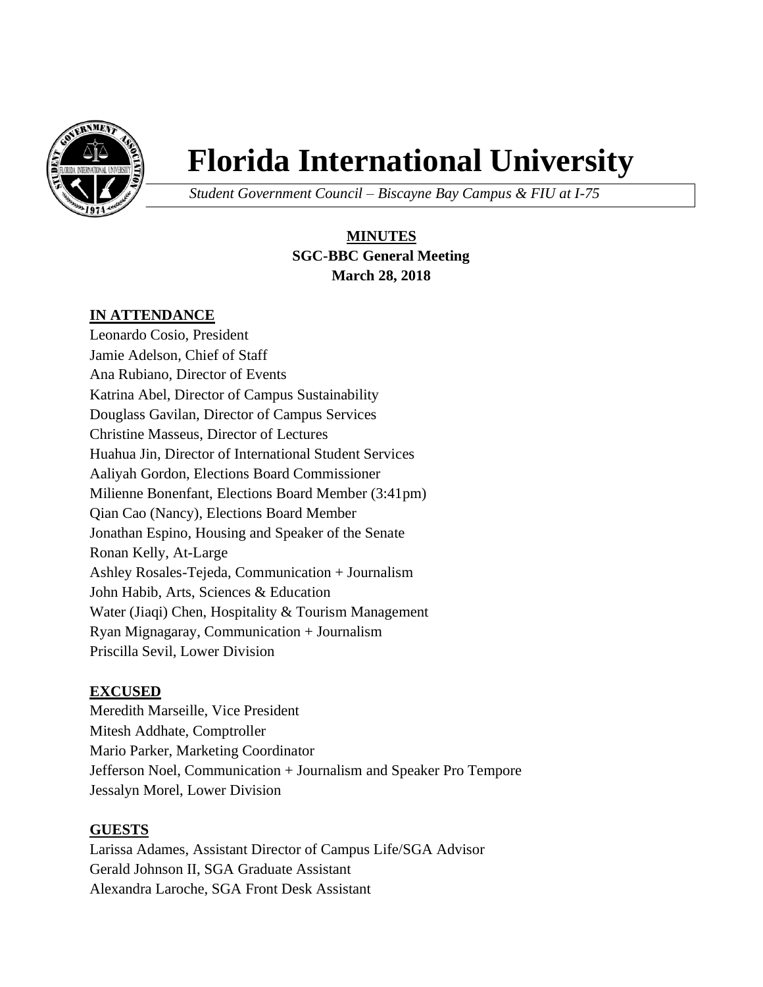

# **Florida International University**

*Student Government Council – Biscayne Bay Campus & FIU at I-75*

# **MINUTES SGC-BBC General Meeting March 28, 2018**

## **IN ATTENDANCE**

Leonardo Cosio, President Jamie Adelson, Chief of Staff Ana Rubiano, Director of Events Katrina Abel, Director of Campus Sustainability Douglass Gavilan, Director of Campus Services Christine Masseus, Director of Lectures Huahua Jin, Director of International Student Services Aaliyah Gordon, Elections Board Commissioner Milienne Bonenfant, Elections Board Member (3:41pm) Qian Cao (Nancy), Elections Board Member Jonathan Espino, Housing and Speaker of the Senate Ronan Kelly, At-Large Ashley Rosales-Tejeda, Communication + Journalism John Habib, Arts, Sciences & Education Water (Jiaqi) Chen, Hospitality & Tourism Management Ryan Mignagaray, Communication + Journalism Priscilla Sevil, Lower Division

#### **EXCUSED**

Meredith Marseille, Vice President Mitesh Addhate, Comptroller Mario Parker, Marketing Coordinator Jefferson Noel, Communication + Journalism and Speaker Pro Tempore Jessalyn Morel, Lower Division

#### **GUESTS**

Larissa Adames, Assistant Director of Campus Life/SGA Advisor Gerald Johnson II, SGA Graduate Assistant Alexandra Laroche, SGA Front Desk Assistant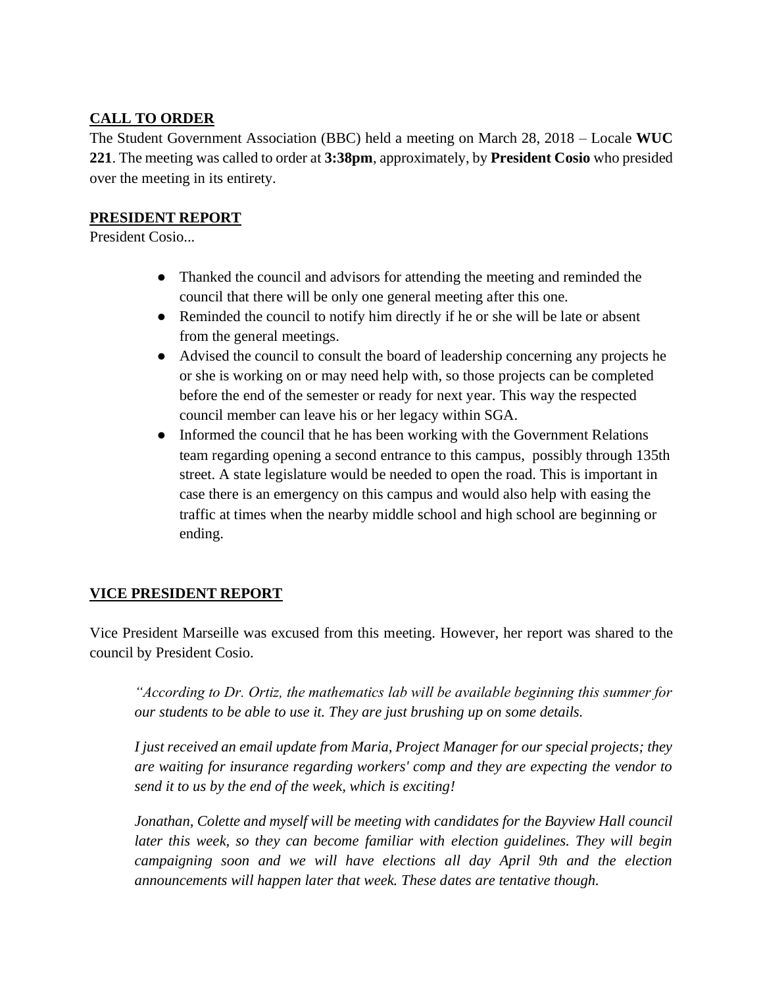## **CALL TO ORDER**

The Student Government Association (BBC) held a meeting on March 28, 2018 – Locale **WUC 221**. The meeting was called to order at **3:38pm**, approximately, by **President Cosio** who presided over the meeting in its entirety.

#### **PRESIDENT REPORT**

President Cosio...

- Thanked the council and advisors for attending the meeting and reminded the council that there will be only one general meeting after this one.
- Reminded the council to notify him directly if he or she will be late or absent from the general meetings.
- Advised the council to consult the board of leadership concerning any projects he or she is working on or may need help with, so those projects can be completed before the end of the semester or ready for next year. This way the respected council member can leave his or her legacy within SGA.
- Informed the council that he has been working with the Government Relations team regarding opening a second entrance to this campus, possibly through 135th street. A state legislature would be needed to open the road. This is important in case there is an emergency on this campus and would also help with easing the traffic at times when the nearby middle school and high school are beginning or ending.

## **VICE PRESIDENT REPORT**

Vice President Marseille was excused from this meeting. However, her report was shared to the council by President Cosio.

*"According to Dr. Ortiz, the mathematics lab will be available beginning this summer for our students to be able to use it. They are just brushing up on some details.*

*I just received an email update from Maria, Project Manager for our special projects; they are waiting for insurance regarding workers' comp and they are expecting the vendor to send it to us by the end of the week, which is exciting!*

*Jonathan, Colette and myself will be meeting with candidates for the Bayview Hall council*  later this week, so they can become familiar with election guidelines. They will begin *campaigning soon and we will have elections all day April 9th and the election announcements will happen later that week. These dates are tentative though.*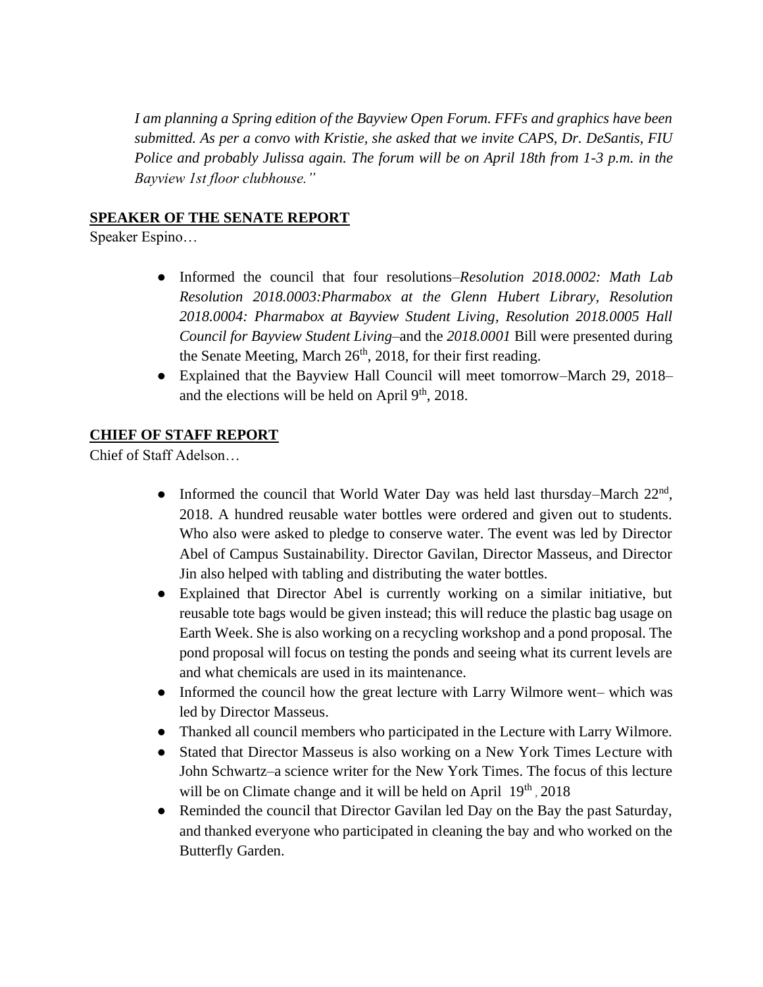*I am planning a Spring edition of the Bayview Open Forum. FFFs and graphics have been submitted. As per a convo with Kristie, she asked that we invite CAPS, Dr. DeSantis, FIU Police and probably Julissa again. The forum will be on April 18th from 1-3 p.m. in the Bayview 1st floor clubhouse."*

#### **SPEAKER OF THE SENATE REPORT**

Speaker Espino…

- Informed the council that four resolutions–*Resolution 2018.0002: Math Lab Resolution 2018.0003:Pharmabox at the Glenn Hubert Library, Resolution 2018.0004: Pharmabox at Bayview Student Living, Resolution 2018.0005 Hall Council for Bayview Student Living*–and the *2018.0001* Bill were presented during the Senate Meeting, March  $26<sup>th</sup>$ , 2018, for their first reading.
- Explained that the Bayview Hall Council will meet tomorrow–March 29, 2018– and the elections will be held on April  $9<sup>th</sup>$ , 2018.

#### **CHIEF OF STAFF REPORT**

Chief of Staff Adelson…

- Informed the council that World Water Day was held last thursday–March 22<sup>nd</sup>, 2018. A hundred reusable water bottles were ordered and given out to students. Who also were asked to pledge to conserve water. The event was led by Director Abel of Campus Sustainability. Director Gavilan, Director Masseus, and Director Jin also helped with tabling and distributing the water bottles.
- Explained that Director Abel is currently working on a similar initiative, but reusable tote bags would be given instead; this will reduce the plastic bag usage on Earth Week. She is also working on a recycling workshop and a pond proposal. The pond proposal will focus on testing the ponds and seeing what its current levels are and what chemicals are used in its maintenance.
- Informed the council how the great lecture with Larry Wilmore went– which was led by Director Masseus.
- Thanked all council members who participated in the Lecture with Larry Wilmore.
- Stated that Director Masseus is also working on a New York Times Lecture with John Schwartz–a science writer for the New York Times. The focus of this lecture will be on Climate change and it will be held on April 19<sup>th</sup>, 2018
- Reminded the council that Director Gavilan led Day on the Bay the past Saturday, and thanked everyone who participated in cleaning the bay and who worked on the Butterfly Garden.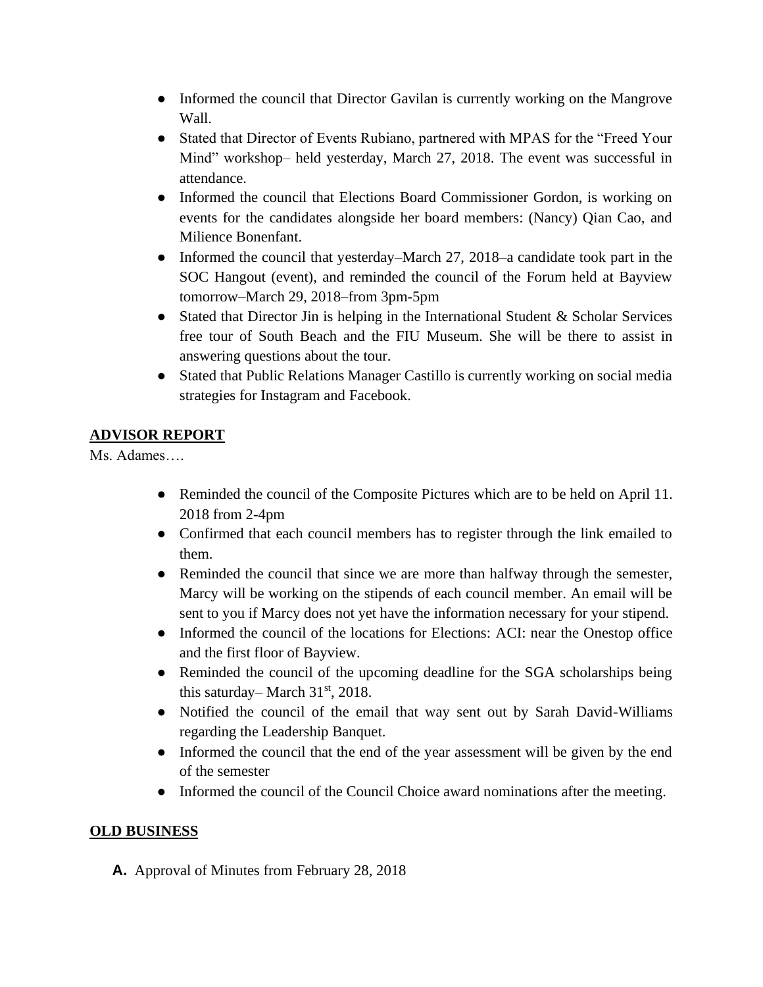- Informed the council that Director Gavilan is currently working on the Mangrove Wall.
- Stated that Director of Events Rubiano, partnered with MPAS for the "Freed Your Mind" workshop– held yesterday, March 27, 2018. The event was successful in attendance.
- Informed the council that Elections Board Commissioner Gordon, is working on events for the candidates alongside her board members: (Nancy) Qian Cao, and Milience Bonenfant.
- Informed the council that yesterday–March 27, 2018–a candidate took part in the SOC Hangout (event), and reminded the council of the Forum held at Bayview tomorrow–March 29, 2018–from 3pm-5pm
- Stated that Director Jin is helping in the International Student & Scholar Services free tour of South Beach and the FIU Museum. She will be there to assist in answering questions about the tour.
- Stated that Public Relations Manager Castillo is currently working on social media strategies for Instagram and Facebook.

# **ADVISOR REPORT**

Ms. Adames….

- Reminded the council of the Composite Pictures which are to be held on April 11. 2018 from 2-4pm
- Confirmed that each council members has to register through the link emailed to them.
- Reminded the council that since we are more than halfway through the semester, Marcy will be working on the stipends of each council member. An email will be sent to you if Marcy does not yet have the information necessary for your stipend.
- Informed the council of the locations for Elections: ACI: near the Onestop office and the first floor of Bayview.
- Reminded the council of the upcoming deadline for the SGA scholarships being this saturday– March  $31<sup>st</sup>$ , 2018.
- Notified the council of the email that way sent out by Sarah David-Williams regarding the Leadership Banquet.
- Informed the council that the end of the year assessment will be given by the end of the semester
- Informed the council of the Council Choice award nominations after the meeting.

# **OLD BUSINESS**

**A.** Approval of Minutes from February 28, 2018